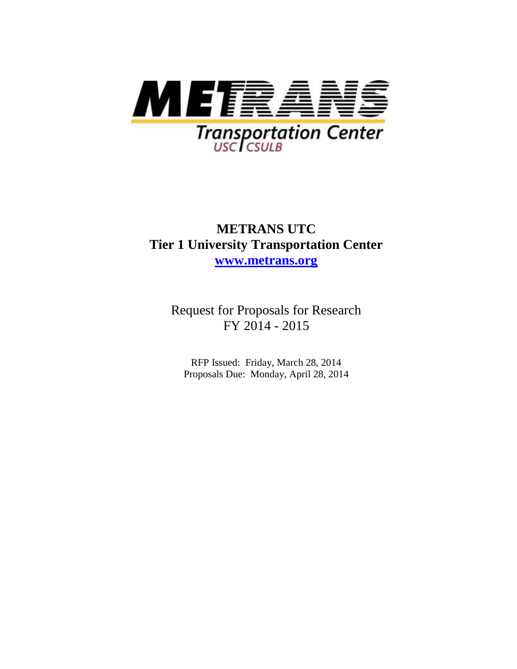

# **METRANS UTC Tier 1 University Transportation Center [www.metrans.org](http://www.metrans.org/)**

Request for Proposals for Research FY 2014 - 2015

RFP Issued: Friday, March 28, 2014 Proposals Due: Monday, April 28, 2014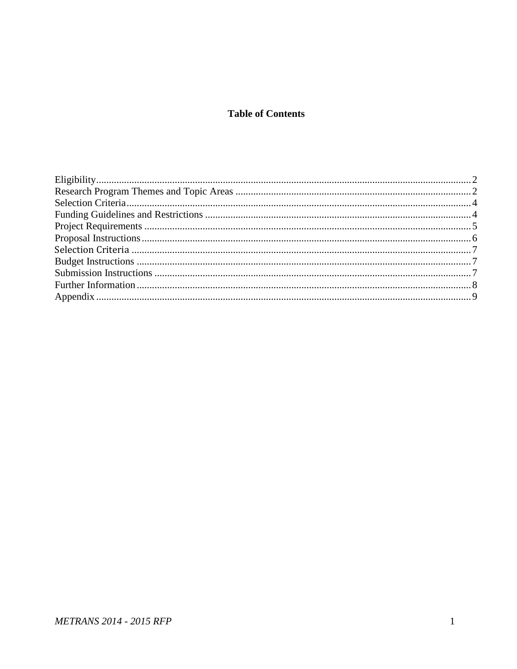### **Table of Contents**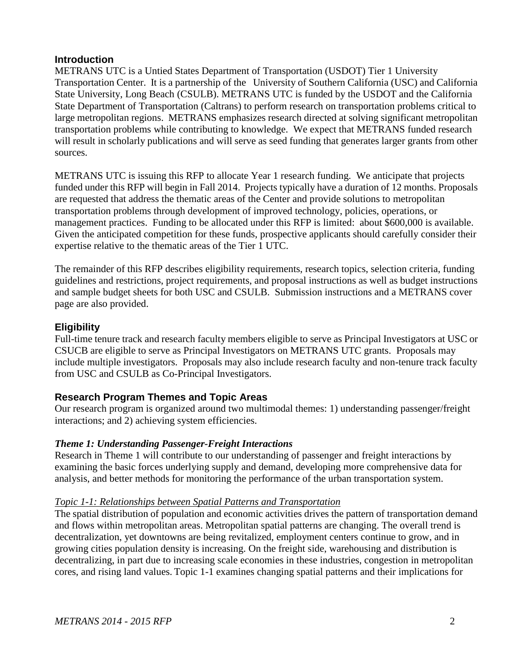### **Introduction**

METRANS UTC is a Untied States Department of Transportation (USDOT) Tier 1 University Transportation Center. It is a partnership of the University of Southern California (USC) and California State University, Long Beach (CSULB). METRANS UTC is funded by the USDOT and the California State Department of Transportation (Caltrans) to perform research on transportation problems critical to large metropolitan regions. METRANS emphasizes research directed at solving significant metropolitan transportation problems while contributing to knowledge. We expect that METRANS funded research will result in scholarly publications and will serve as seed funding that generates larger grants from other sources.

METRANS UTC is issuing this RFP to allocate Year 1 research funding. We anticipate that projects funded under this RFP will begin in Fall 2014. Projects typically have a duration of 12 months. Proposals are requested that address the thematic areas of the Center and provide solutions to metropolitan transportation problems through development of improved technology, policies, operations, or management practices. Funding to be allocated under this RFP is limited: about \$600,000 is available. Given the anticipated competition for these funds, prospective applicants should carefully consider their expertise relative to the thematic areas of the Tier 1 UTC.

The remainder of this RFP describes eligibility requirements, research topics, selection criteria, funding guidelines and restrictions, project requirements, and proposal instructions as well as budget instructions and sample budget sheets for both USC and CSULB. Submission instructions and a METRANS cover page are also provided.

### <span id="page-2-0"></span>**Eligibility**

Full-time tenure track and research faculty members eligible to serve as Principal Investigators at USC or CSUCB are eligible to serve as Principal Investigators on METRANS UTC grants. Proposals may include multiple investigators. Proposals may also include research faculty and non-tenure track faculty from USC and CSULB as Co-Principal Investigators.

### <span id="page-2-1"></span>**Research Program Themes and Topic Areas**

Our research program is organized around two multimodal themes: 1) understanding passenger/freight interactions; and 2) achieving system efficiencies.

### *Theme 1: Understanding Passenger-Freight Interactions*

Research in Theme 1 will contribute to our understanding of passenger and freight interactions by examining the basic forces underlying supply and demand, developing more comprehensive data for analysis, and better methods for monitoring the performance of the urban transportation system.

### *Topic 1-1: Relationships between Spatial Patterns and Transportation*

The spatial distribution of population and economic activities drives the pattern of transportation demand and flows within metropolitan areas. Metropolitan spatial patterns are changing. The overall trend is decentralization, yet downtowns are being revitalized, employment centers continue to grow, and in growing cities population density is increasing. On the freight side, warehousing and distribution is decentralizing, in part due to increasing scale economies in these industries, congestion in metropolitan cores, and rising land values. Topic 1-1 examines changing spatial patterns and their implications for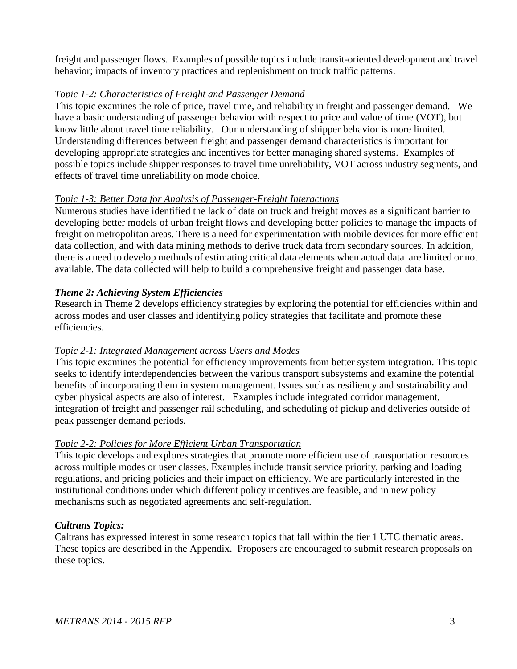freight and passenger flows. Examples of possible topics include transit-oriented development and travel behavior; impacts of inventory practices and replenishment on truck traffic patterns.

### *Topic 1-2: Characteristics of Freight and Passenger Demand*

This topic examines the role of price, travel time, and reliability in freight and passenger demand. We have a basic understanding of passenger behavior with respect to price and value of time (VOT), but know little about travel time reliability. Our understanding of shipper behavior is more limited. Understanding differences between freight and passenger demand characteristics is important for developing appropriate strategies and incentives for better managing shared systems. Examples of possible topics include shipper responses to travel time unreliability, VOT across industry segments, and effects of travel time unreliability on mode choice.

### *Topic 1-3: Better Data for Analysis of Passenger-Freight Interactions*

Numerous studies have identified the lack of data on truck and freight moves as a significant barrier to developing better models of urban freight flows and developing better policies to manage the impacts of freight on metropolitan areas. There is a need for experimentation with mobile devices for more efficient data collection, and with data mining methods to derive truck data from secondary sources. In addition, there is a need to develop methods of estimating critical data elements when actual data are limited or not available. The data collected will help to build a comprehensive freight and passenger data base.

### *Theme 2: Achieving System Efficiencies*

Research in Theme 2 develops efficiency strategies by exploring the potential for efficiencies within and across modes and user classes and identifying policy strategies that facilitate and promote these efficiencies.

### *Topic 2-1: Integrated Management across Users and Modes*

This topic examines the potential for efficiency improvements from better system integration. This topic seeks to identify interdependencies between the various transport subsystems and examine the potential benefits of incorporating them in system management. Issues such as resiliency and sustainability and cyber physical aspects are also of interest. Examples include integrated corridor management, integration of freight and passenger rail scheduling, and scheduling of pickup and deliveries outside of peak passenger demand periods.

### *Topic 2-2: Policies for More Efficient Urban Transportation*

This topic develops and explores strategies that promote more efficient use of transportation resources across multiple modes or user classes. Examples include transit service priority, parking and loading regulations, and pricing policies and their impact on efficiency. We are particularly interested in the institutional conditions under which different policy incentives are feasible, and in new policy mechanisms such as negotiated agreements and self-regulation.

### *Caltrans Topics:*

Caltrans has expressed interest in some research topics that fall within the tier 1 UTC thematic areas. These topics are described in the Appendix. Proposers are encouraged to submit research proposals on these topics.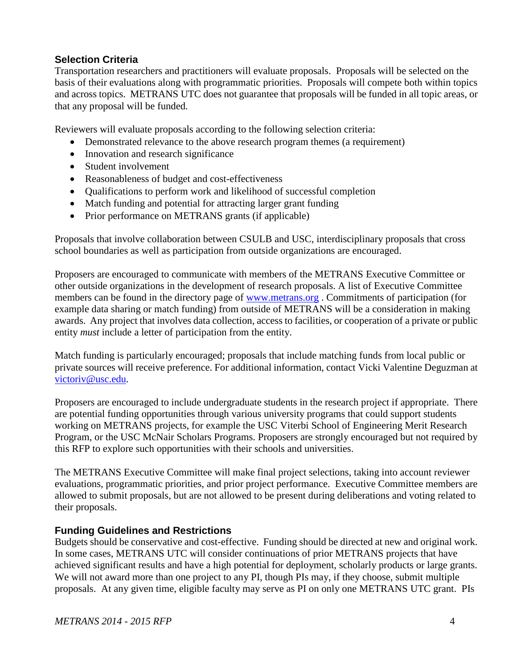### <span id="page-4-0"></span>**Selection Criteria**

Transportation researchers and practitioners will evaluate proposals. Proposals will be selected on the basis of their evaluations along with programmatic priorities. Proposals will compete both within topics and across topics. METRANS UTC does not guarantee that proposals will be funded in all topic areas, or that any proposal will be funded.

Reviewers will evaluate proposals according to the following selection criteria:

- Demonstrated relevance to the above research program themes (a requirement)
- Innovation and research significance
- Student involvement
- Reasonableness of budget and cost-effectiveness
- Qualifications to perform work and likelihood of successful completion
- Match funding and potential for attracting larger grant funding
- Prior performance on METRANS grants (if applicable)

Proposals that involve collaboration between CSULB and USC, interdisciplinary proposals that cross school boundaries as well as participation from outside organizations are encouraged.

Proposers are encouraged to communicate with members of the METRANS Executive Committee or other outside organizations in the development of research proposals. A list of Executive Committee members can be found in the directory page of [www.metrans.org](http://www.metrans.org/) . Commitments of participation (for example data sharing or match funding) from outside of METRANS will be a consideration in making awards. Any project that involves data collection, access to facilities, or cooperation of a private or public entity *must* include a letter of participation from the entity.

Match funding is particularly encouraged; proposals that include matching funds from local public or private sources will receive preference. For additional information, contact Vicki Valentine Deguzman at [victoriv@usc.edu.](../../../../../victoriv/AppData/Local/victoriv/AppData/Local/Microsoft/Windows/Temporary%20Internet%20Files/victoriv/AppData/Documents%20and%20Settings/giuliano/Local%20Settings/Temporary%20Internet%20Files/OLK279/victoriv@usc.edu)

Proposers are encouraged to include undergraduate students in the research project if appropriate. There are potential funding opportunities through various university programs that could support students working on METRANS projects, for example the USC Viterbi School of Engineering Merit Research Program, or the USC McNair Scholars Programs. Proposers are strongly encouraged but not required by this RFP to explore such opportunities with their schools and universities.

The METRANS Executive Committee will make final project selections, taking into account reviewer evaluations, programmatic priorities, and prior project performance. Executive Committee members are allowed to submit proposals, but are not allowed to be present during deliberations and voting related to their proposals.

### <span id="page-4-1"></span>**Funding Guidelines and Restrictions**

Budgets should be conservative and cost-effective. Funding should be directed at new and original work. In some cases, METRANS UTC will consider continuations of prior METRANS projects that have achieved significant results and have a high potential for deployment, scholarly products or large grants. We will not award more than one project to any PI, though PIs may, if they choose, submit multiple proposals. At any given time, eligible faculty may serve as PI on only one METRANS UTC grant. PIs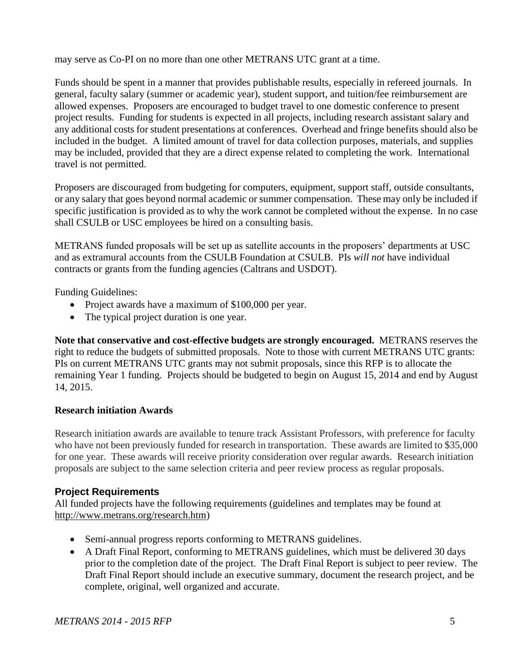may serve as Co-PI on no more than one other METRANS UTC grant at a time.

Funds should be spent in a manner that provides publishable results, especially in refereed journals. In general, faculty salary (summer or academic year), student support, and tuition/fee reimbursement are allowed expenses. Proposers are encouraged to budget travel to one domestic conference to present project results. Funding for students is expected in all projects, including research assistant salary and any additional costs for student presentations at conferences. Overhead and fringe benefits should also be included in the budget. A limited amount of travel for data collection purposes, materials, and supplies may be included, provided that they are a direct expense related to completing the work. International travel is not permitted.

Proposers are discouraged from budgeting for computers, equipment, support staff, outside consultants, or any salary that goes beyond normal academic or summer compensation. These may only be included if specific justification is provided as to why the work cannot be completed without the expense. In no case shall CSULB or USC employees be hired on a consulting basis.

METRANS funded proposals will be set up as satellite accounts in the proposers' departments at USC and as extramural accounts from the CSULB Foundation at CSULB. PIs *will not* have individual contracts or grants from the funding agencies (Caltrans and USDOT).

Funding Guidelines:

- Project awards have a maximum of \$100,000 per year.
- The typical project duration is one year.

**Note that conservative and cost-effective budgets are strongly encouraged.** METRANS reserves the right to reduce the budgets of submitted proposals. Note to those with current METRANS UTC grants: PIs on current METRANS UTC grants may not submit proposals, since this RFP is to allocate the remaining Year 1 funding. Projects should be budgeted to begin on August 15, 2014 and end by August 14, 2015.

### **Research initiation Awards**

Research initiation awards are available to tenure track Assistant Professors, with preference for faculty who have not been previously funded for research in transportation. These awards are limited to \$35,000 for one year. These awards will receive priority consideration over regular awards. Research initiation proposals are subject to the same selection criteria and peer review process as regular proposals.

### <span id="page-5-0"></span>**Project Requirements**

All funded projects have the following requirements (guidelines and templates may be found at [http://www.metrans.org/research.htm\)](http://www.metrans.org/research.htm)

- Semi-annual progress reports conforming to METRANS guidelines.
- A Draft Final Report, conforming to METRANS guidelines, which must be delivered 30 days prior to the completion date of the project. The Draft Final Report is subject to peer review. The Draft Final Report should include an executive summary, document the research project, and be complete, original, well organized and accurate.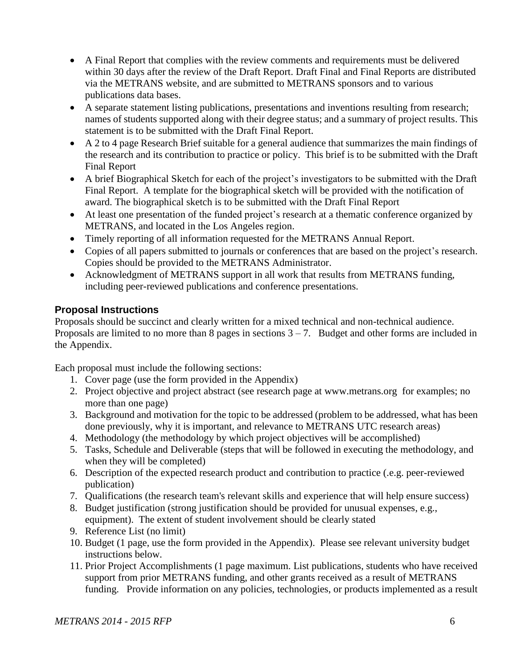- A Final Report that complies with the review comments and requirements must be delivered within 30 days after the review of the Draft Report. Draft Final and Final Reports are distributed via the METRANS website, and are submitted to METRANS sponsors and to various publications data bases.
- A separate statement listing publications, presentations and inventions resulting from research; names of students supported along with their degree status; and a summary of project results. This statement is to be submitted with the Draft Final Report.
- A 2 to 4 page Research Brief suitable for a general audience that summarizes the main findings of the research and its contribution to practice or policy. This brief is to be submitted with the Draft Final Report
- A brief Biographical Sketch for each of the project's investigators to be submitted with the Draft Final Report. A template for the biographical sketch will be provided with the notification of award. The biographical sketch is to be submitted with the Draft Final Report
- At least one presentation of the funded project's research at a thematic conference organized by METRANS, and located in the Los Angeles region.
- Timely reporting of all information requested for the METRANS Annual Report.
- Copies of all papers submitted to journals or conferences that are based on the project's research. Copies should be provided to the METRANS Administrator.
- Acknowledgment of METRANS support in all work that results from METRANS funding, including peer-reviewed publications and conference presentations.

### <span id="page-6-0"></span>**Proposal Instructions**

Proposals should be succinct and clearly written for a mixed technical and non-technical audience. Proposals are limited to no more than 8 pages in sections  $3 - 7$ . Budget and other forms are included in the Appendix.

Each proposal must include the following sections:

- 1. Cover page (use the form provided in the Appendix)
- 2. Project objective and project abstract (see research page at [www.metrans.org](http://www.metrans.org/) for examples; no more than one page)
- 3. Background and motivation for the topic to be addressed (problem to be addressed, what has been done previously, why it is important, and relevance to METRANS UTC research areas)
- 4. Methodology (the methodology by which project objectives will be accomplished)
- 5. Tasks, Schedule and Deliverable (steps that will be followed in executing the methodology, and when they will be completed)
- 6. Description of the expected research product and contribution to practice (.e.g. peer-reviewed publication)
- 7. Qualifications (the research team's relevant skills and experience that will help ensure success)
- 8. Budget justification (strong justification should be provided for unusual expenses, e.g., equipment). The extent of student involvement should be clearly stated
- 9. Reference List (no limit)
- 10. Budget (1 page, use the form provided in the Appendix). Please see relevant university budget instructions below.
- 11. Prior Project Accomplishments (1 page maximum. List publications, students who have received support from prior METRANS funding, and other grants received as a result of METRANS funding. Provide information on any policies, technologies, or products implemented as a result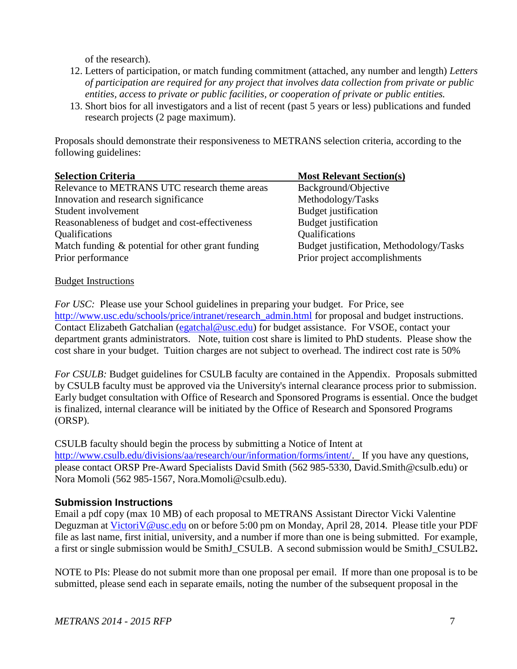of the research).

- 12. Letters of participation, or match funding commitment (attached, any number and length) *Letters of participation are required for any project that involves data collection from private or public entities, access to private or public facilities, or cooperation of private or public entities.*
- 13. Short bios for all investigators and a list of recent (past 5 years or less) publications and funded research projects (2 page maximum).

Proposals should demonstrate their responsiveness to METRANS selection criteria, according to the following guidelines:

<span id="page-7-0"></span>

| <b>Selection Criteria</b>                         | <b>Most Relevant Section(s)</b>         |
|---------------------------------------------------|-----------------------------------------|
| Relevance to METRANS UTC research theme areas     | Background/Objective                    |
| Innovation and research significance              | Methodology/Tasks                       |
| Student involvement                               | Budget justification                    |
| Reasonableness of budget and cost-effectiveness   | Budget justification                    |
| Qualifications                                    | Qualifications                          |
| Match funding & potential for other grant funding | Budget justification, Methodology/Tasks |
| Prior performance                                 | Prior project accomplishments           |

#### <span id="page-7-1"></span>Budget Instructions

*For USC:* Please use your School guidelines in preparing your budget. For Price, see [http://www.usc.edu/schools/price/intranet/research\\_admin.html](http://www.usc.edu/schools/price/intranet/research_admin.html) for proposal and budget instructions. Contact Elizabeth Gatchalian [\(egatchal@usc.edu\)](mailto:egatchal@usc.edu) for budget assistance. For VSOE, contact your department grants administrators. Note, tuition cost share is limited to PhD students. Please show the cost share in your budget. Tuition charges are not subject to overhead. The indirect cost rate is 50%

*For CSULB:* Budget guidelines for CSULB faculty are contained in the Appendix. Proposals submitted by CSULB faculty must be approved via the University's internal clearance process prior to submission. Early budget consultation with Office of Research and Sponsored Programs is essential. Once the budget is finalized, internal clearance will be initiated by the Office of Research and Sponsored Programs (ORSP).

#### CSULB faculty should begin the process by submitting a Notice of Intent at

[http://www.csulb.edu/divisions/aa/research/our/information/forms/intent/.](http://www.csulb.edu/divisions/aa/research/our/information/forms/intent/) If you have any questions, please contact ORSP Pre-Award Specialists David Smith (562 985-5330, David.Smith@csulb.edu) or Nora Momoli (562 985-1567, Nora.Momoli@csulb.edu).

### <span id="page-7-2"></span>**Submission Instructions**

Email a pdf copy (max 10 MB) of each proposal to METRANS Assistant Director Vicki Valentine Deguzman at [VictoriV@usc.edu](mailto:VictoriV@usc.edu) on or before 5:00 pm on Monday, April 28, 2014. Please title your PDF file as last name, first initial, university, and a number if more than one is being submitted. For example, a first or single submission would be SmithJ\_CSULB. A second submission would be SmithJ\_CSULB2**.** 

NOTE to PIs: Please do not submit more than one proposal per email. If more than one proposal is to be submitted, please send each in separate emails, noting the number of the subsequent proposal in the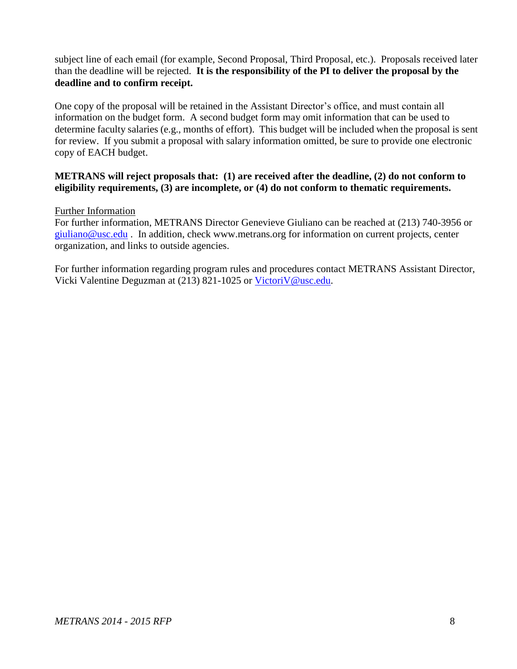subject line of each email (for example, Second Proposal, Third Proposal, etc.). Proposals received later than the deadline will be rejected. **It is the responsibility of the PI to deliver the proposal by the deadline and to confirm receipt.** 

One copy of the proposal will be retained in the Assistant Director's office, and must contain all information on the budget form. A second budget form may omit information that can be used to determine faculty salaries (e.g., months of effort). This budget will be included when the proposal is sent for review. If you submit a proposal with salary information omitted, be sure to provide one electronic copy of EACH budget.

#### **METRANS will reject proposals that: (1) are received after the deadline, (2) do not conform to eligibility requirements, (3) are incomplete, or (4) do not conform to thematic requirements.**

#### <span id="page-8-0"></span>Further Information

For further information, METRANS Director Genevieve Giuliano can be reached at (213) 740-3956 or [giuliano@usc.edu](mailto:giuliano@usc.edu) . In addition, check [www.metrans.org](http://www.metrans.org/) for information on current projects, center organization, and links to outside agencies.

For further information regarding program rules and procedures contact METRANS Assistant Director, Vicki Valentine Deguzman at (213) 821-1025 or [VictoriV@usc.edu.](mailto:VictoriV@usc.edu)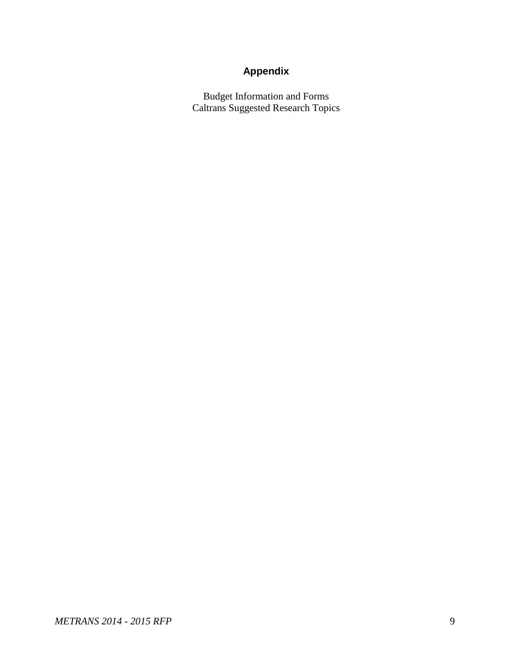## **Appendix**

<span id="page-9-0"></span>Budget Information and Forms Caltrans Suggested Research Topics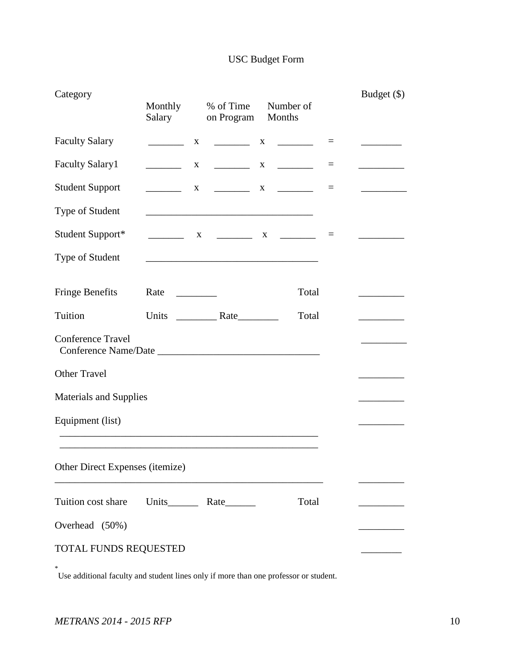### USC Budget Form

| Category                        | Monthly<br>Salary                     | % of Time<br>on Program Months                                                                                        | Number of                     |          | Budget (\$) |
|---------------------------------|---------------------------------------|-----------------------------------------------------------------------------------------------------------------------|-------------------------------|----------|-------------|
| <b>Faculty Salary</b>           | X                                     |                                                                                                                       |                               | $=$      |             |
| <b>Faculty Salary1</b>          | X                                     |                                                                                                                       | $\frac{1}{1}$ X $\frac{1}{1}$ | $\equiv$ |             |
| <b>Student Support</b>          |                                       |                                                                                                                       | $X \sim X$                    | $=$      |             |
| Type of Student                 |                                       | <u> 1989 - Johann Barbara, martxa alemaniar amerikan baratzaren 1980an hamarka</u>                                    |                               |          |             |
| Student Support*                |                                       |                                                                                                                       |                               | $=$      |             |
| Type of Student                 |                                       | <u> 1989 - Johann Barbara, martin da basar da basar da basar da basar da basar da basar da basar da basar da basa</u> |                               |          |             |
| <b>Fringe Benefits</b>          | Rate<br>$\mathcal{L}=\{1,2,3,4,5\}$ . |                                                                                                                       | Total                         |          |             |
| Tuition                         |                                       |                                                                                                                       | Total                         |          |             |
| <b>Conference Travel</b>        |                                       |                                                                                                                       |                               |          |             |
| <b>Other Travel</b>             |                                       |                                                                                                                       |                               |          |             |
| <b>Materials and Supplies</b>   |                                       |                                                                                                                       |                               |          |             |
| Equipment (list)                |                                       |                                                                                                                       |                               |          |             |
| Other Direct Expenses (itemize) |                                       |                                                                                                                       |                               |          |             |
| Tuition cost share              |                                       |                                                                                                                       | Total                         |          |             |
| Overhead (50%)                  |                                       |                                                                                                                       |                               |          |             |
| TOTAL FUNDS REQUESTED           |                                       |                                                                                                                       |                               |          |             |

\* Use additional faculty and student lines only if more than one professor or student.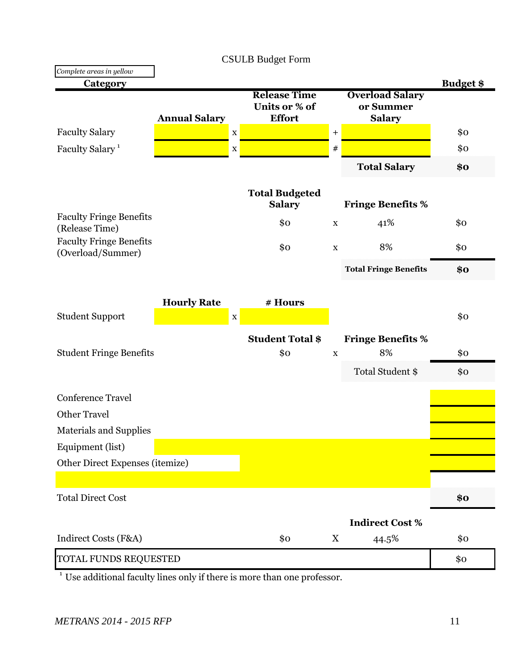|                                                     |                      | <b>CSULB Budget Form</b>                              |                  |                                                      |                  |
|-----------------------------------------------------|----------------------|-------------------------------------------------------|------------------|------------------------------------------------------|------------------|
| Complete areas in yellow                            |                      |                                                       |                  |                                                      |                  |
| <b>Category</b>                                     |                      |                                                       |                  |                                                      | <b>Budget \$</b> |
|                                                     | <b>Annual Salary</b> | <b>Release Time</b><br>Units or % of<br><b>Effort</b> |                  | <b>Overload Salary</b><br>or Summer<br><b>Salary</b> |                  |
| <b>Faculty Salary</b>                               |                      | $\mathbf X$                                           | $\boldsymbol{+}$ |                                                      | \$0              |
| Faculty Salary <sup>1</sup>                         |                      | $\mathbf X$                                           | $\#$             |                                                      | \$0              |
|                                                     |                      |                                                       |                  | <b>Total Salary</b>                                  | \$0              |
|                                                     |                      | <b>Total Budgeted</b><br><b>Salary</b>                |                  | <b>Fringe Benefits %</b>                             |                  |
| <b>Faculty Fringe Benefits</b><br>(Release Time)    |                      | \$0                                                   | $\mathbf X$      | 41%                                                  | \$0              |
| <b>Faculty Fringe Benefits</b><br>(Overload/Summer) |                      | \$0                                                   | $\mathbf X$      | 8%                                                   | \$0              |
|                                                     |                      |                                                       |                  | <b>Total Fringe Benefits</b>                         | \$0              |
|                                                     | <b>Hourly Rate</b>   | # Hours                                               |                  |                                                      |                  |
| <b>Student Support</b>                              |                      | $\mathbf X$                                           |                  |                                                      | \$o              |
|                                                     |                      | <b>Student Total \$</b>                               |                  | <b>Fringe Benefits %</b>                             |                  |
| <b>Student Fringe Benefits</b>                      |                      | \$0                                                   | $\mathbf X$      | 8%                                                   | \$0              |
|                                                     |                      |                                                       |                  | Total Student \$                                     | \$0              |
| <b>Conference Travel</b>                            |                      |                                                       |                  |                                                      |                  |
| <b>Other Travel</b>                                 |                      |                                                       |                  |                                                      |                  |
| Materials and Supplies                              |                      |                                                       |                  |                                                      |                  |
| Equipment (list)                                    |                      |                                                       |                  |                                                      |                  |
| Other Direct Expenses (itemize)                     |                      |                                                       |                  |                                                      |                  |
|                                                     |                      |                                                       |                  |                                                      |                  |
| <b>Total Direct Cost</b>                            |                      |                                                       |                  |                                                      | \$0              |
|                                                     |                      |                                                       |                  | <b>Indirect Cost %</b>                               |                  |
| Indirect Costs (F&A)                                |                      | \$o                                                   | $\mathbf X$      | 44.5%                                                | \$0              |
| TOTAL FUNDS REQUESTED                               |                      |                                                       |                  |                                                      | \$0              |

<sup>1</sup> Use additional faculty lines only if there is more than one professor.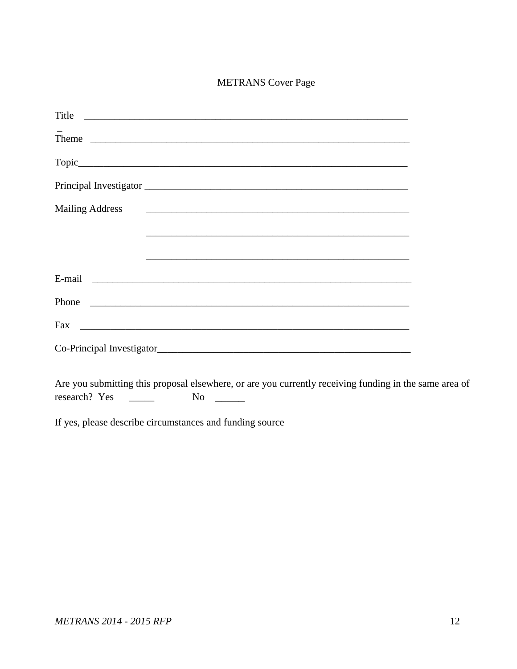### **METRANS** Cover Page

|                        | Title                     |  |
|------------------------|---------------------------|--|
|                        | Theme                     |  |
|                        |                           |  |
|                        |                           |  |
| <b>Mailing Address</b> |                           |  |
|                        |                           |  |
|                        |                           |  |
|                        |                           |  |
|                        |                           |  |
|                        |                           |  |
|                        | Co-Principal Investigator |  |

Are you submitting this proposal elsewhere, or are you currently receiving funding in the same area of research? Yes No  $\qquad$  $\frac{1}{1}$ 

If yes, please describe circumstances and funding source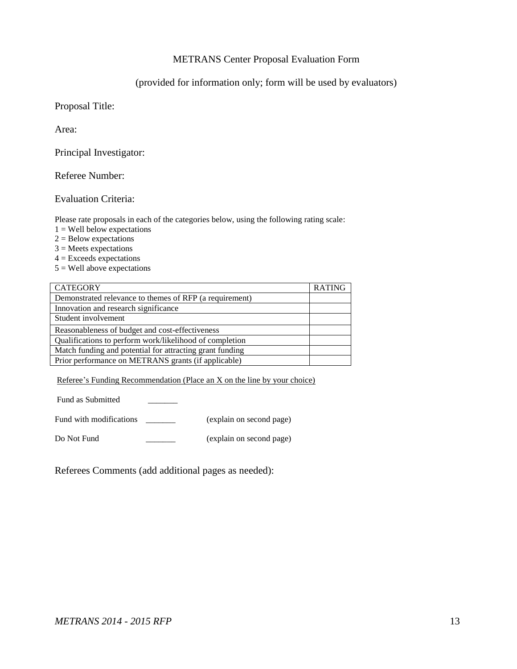#### METRANS Center Proposal Evaluation Form

#### (provided for information only; form will be used by evaluators)

Proposal Title:

Area:

Principal Investigator:

Referee Number:

Evaluation Criteria:

Please rate proposals in each of the categories below, using the following rating scale:

- $1 =$  Well below expectations
- $2 =$  Below expectations
- $3$  = Meets expectations
- $4 =$  Exceeds expectations
- $5 =$  Well above expectations

| <b>CATEGORY</b>                                          | <b>RATING</b> |
|----------------------------------------------------------|---------------|
| Demonstrated relevance to themes of RFP (a requirement)  |               |
| Innovation and research significance                     |               |
| Student involvement                                      |               |
| Reasonableness of budget and cost-effectiveness          |               |
| Qualifications to perform work/likelihood of completion  |               |
| Match funding and potential for attracting grant funding |               |
| Prior performance on METRANS grants (if applicable)      |               |

Referee's Funding Recommendation (Place an X on the line by your choice)

Fund as Submitted

Fund with modifications \_\_\_\_\_\_\_\_ (explain on second page)

Do Not Fund \_\_\_\_\_\_\_ (explain on second page)

Referees Comments (add additional pages as needed):